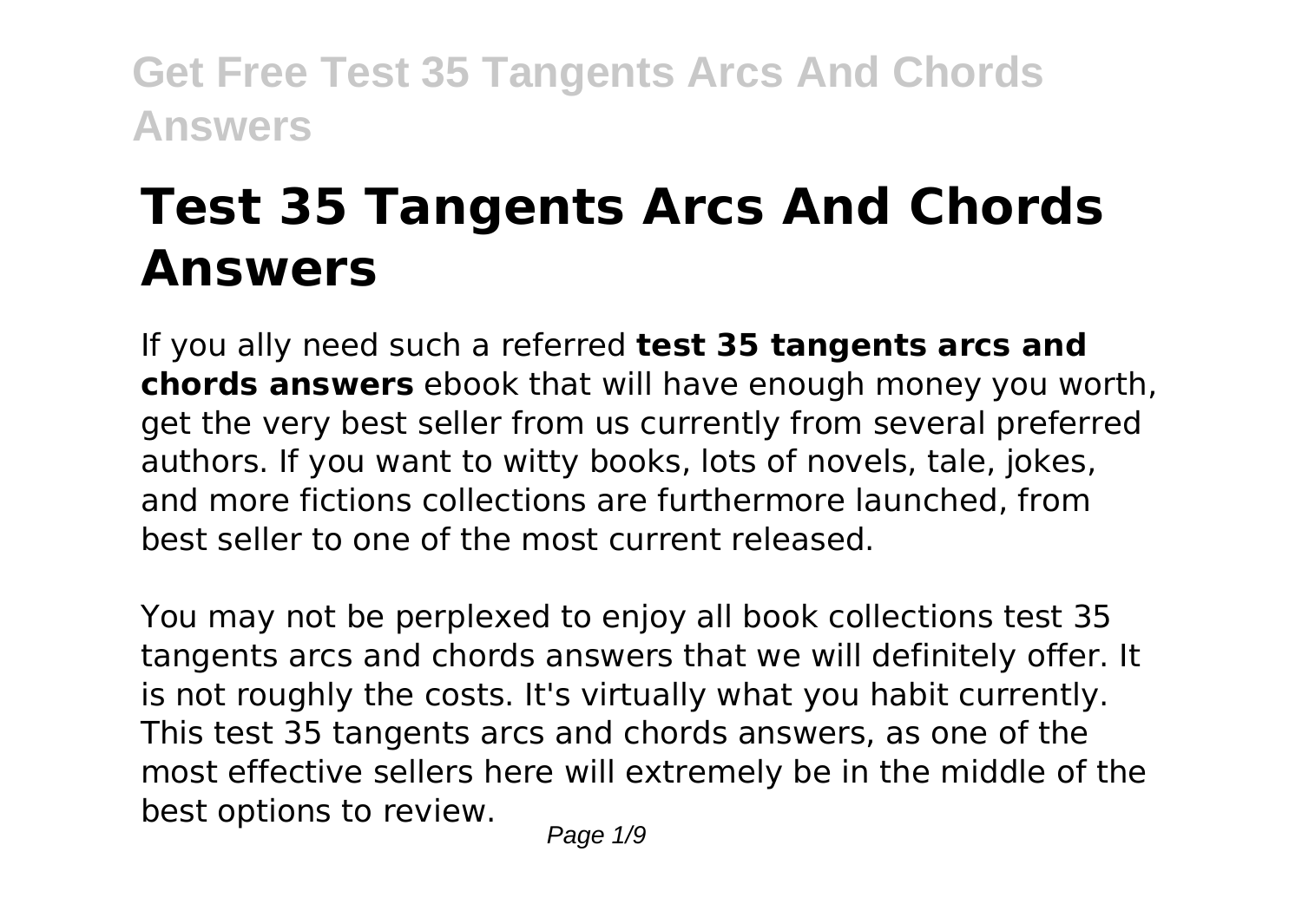# **Test 35 Tangents Arcs And Chords Answers**

If you ally need such a referred **test 35 tangents arcs and chords answers** ebook that will have enough money you worth, get the very best seller from us currently from several preferred authors. If you want to witty books, lots of novels, tale, jokes, and more fictions collections are furthermore launched, from best seller to one of the most current released.

You may not be perplexed to enjoy all book collections test 35 tangents arcs and chords answers that we will definitely offer. It is not roughly the costs. It's virtually what you habit currently. This test 35 tangents arcs and chords answers, as one of the most effective sellers here will extremely be in the middle of the best options to review.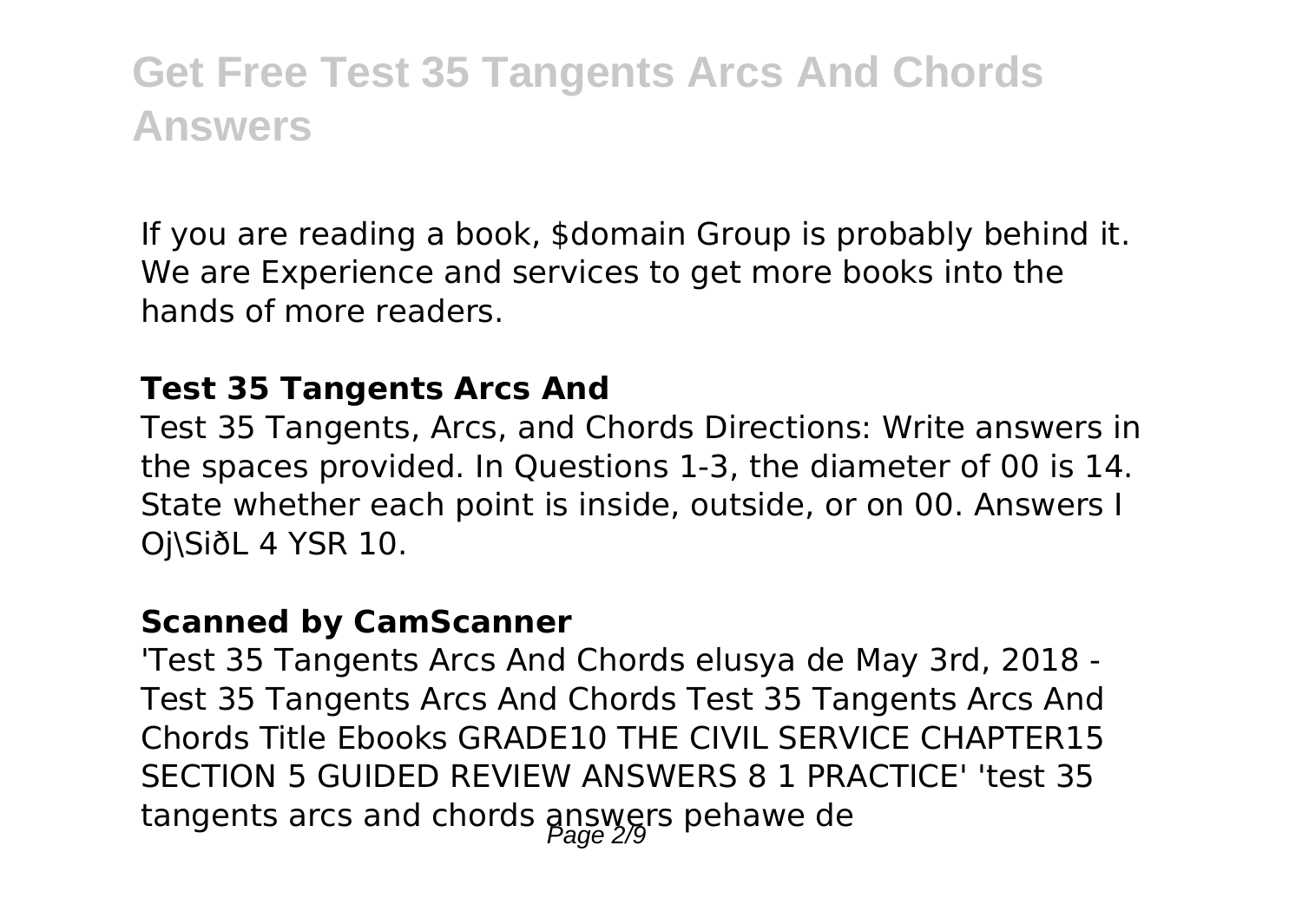If you are reading a book, \$domain Group is probably behind it. We are Experience and services to get more books into the hands of more readers.

#### **Test 35 Tangents Arcs And**

Test 35 Tangents, Arcs, and Chords Directions: Write answers in the spaces provided. In Questions 1-3, the diameter of 00 is 14. State whether each point is inside, outside, or on 00. Answers I Oj\SiðL 4 YSR 10.

#### **Scanned by CamScanner**

'Test 35 Tangents Arcs And Chords elusya de May 3rd, 2018 - Test 35 Tangents Arcs And Chords Test 35 Tangents Arcs And Chords Title Ebooks GRADE10 THE CIVIL SERVICE CHAPTER15 SECTION 5 GUIDED REVIEW ANSWERS 8 1 PRACTICE' 'test 35 tangents arcs and chords  $\frac{\partial R}{\partial q}$  answers pehawe de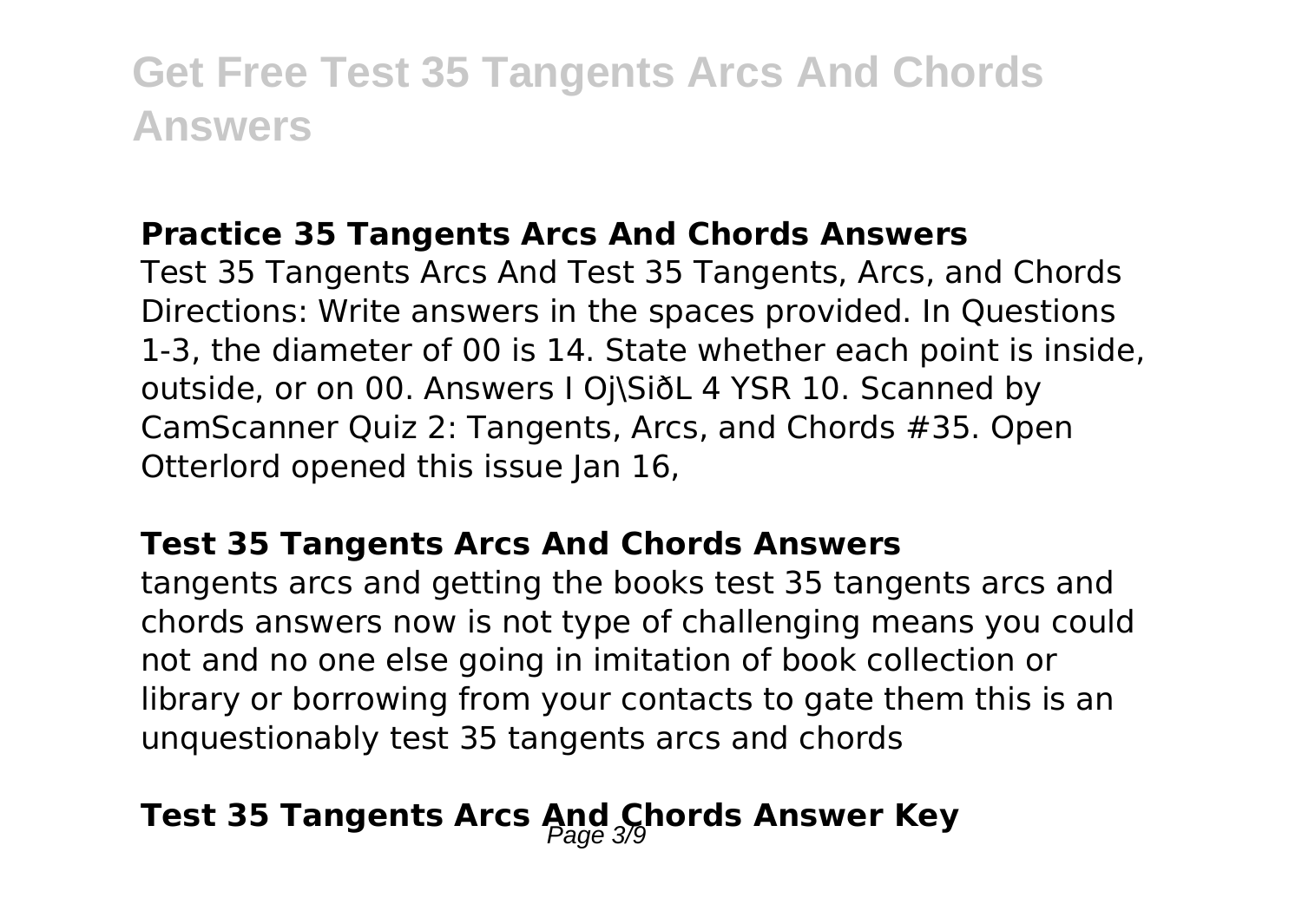#### **Practice 35 Tangents Arcs And Chords Answers**

Test 35 Tangents Arcs And Test 35 Tangents, Arcs, and Chords Directions: Write answers in the spaces provided. In Questions 1-3, the diameter of 00 is 14. State whether each point is inside, outside, or on 00. Answers I Oj\SiðL 4 YSR 10. Scanned by CamScanner Quiz 2: Tangents, Arcs, and Chords #35. Open Otterlord opened this issue Ian 16.

#### **Test 35 Tangents Arcs And Chords Answers**

tangents arcs and getting the books test 35 tangents arcs and chords answers now is not type of challenging means you could not and no one else going in imitation of book collection or library or borrowing from your contacts to gate them this is an unquestionably test 35 tangents arcs and chords

### Test 35 Tangents Arcs And Chords Answer Key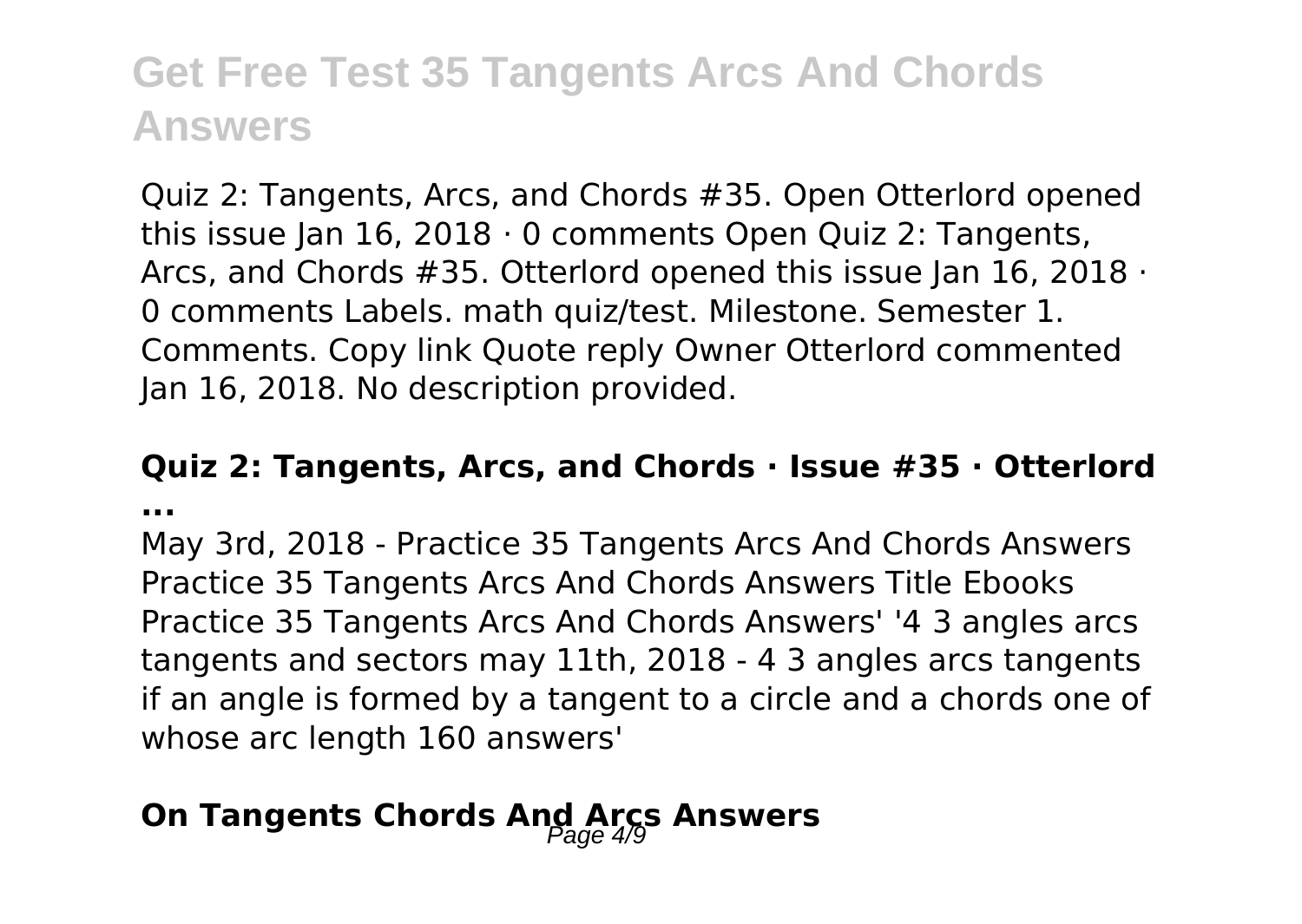Quiz 2: Tangents, Arcs, and Chords #35. Open Otterlord opened this issue Jan  $16$ , 2018  $\cdot$  0 comments Open Quiz 2: Tangents, Arcs, and Chords #35. Otterlord opened this issue Jan 16, 2018 · 0 comments Labels. math quiz/test. Milestone. Semester 1. Comments. Copy link Quote reply Owner Otterlord commented Jan 16, 2018. No description provided.

#### **Quiz 2: Tangents, Arcs, and Chords · Issue #35 · Otterlord ...**

May 3rd, 2018 - Practice 35 Tangents Arcs And Chords Answers Practice 35 Tangents Arcs And Chords Answers Title Ebooks Practice 35 Tangents Arcs And Chords Answers' '4 3 angles arcs tangents and sectors may 11th, 2018 - 4 3 angles arcs tangents if an angle is formed by a tangent to a circle and a chords one of whose arc length 160 answers'

### **On Tangents Chords And Arcs Answers**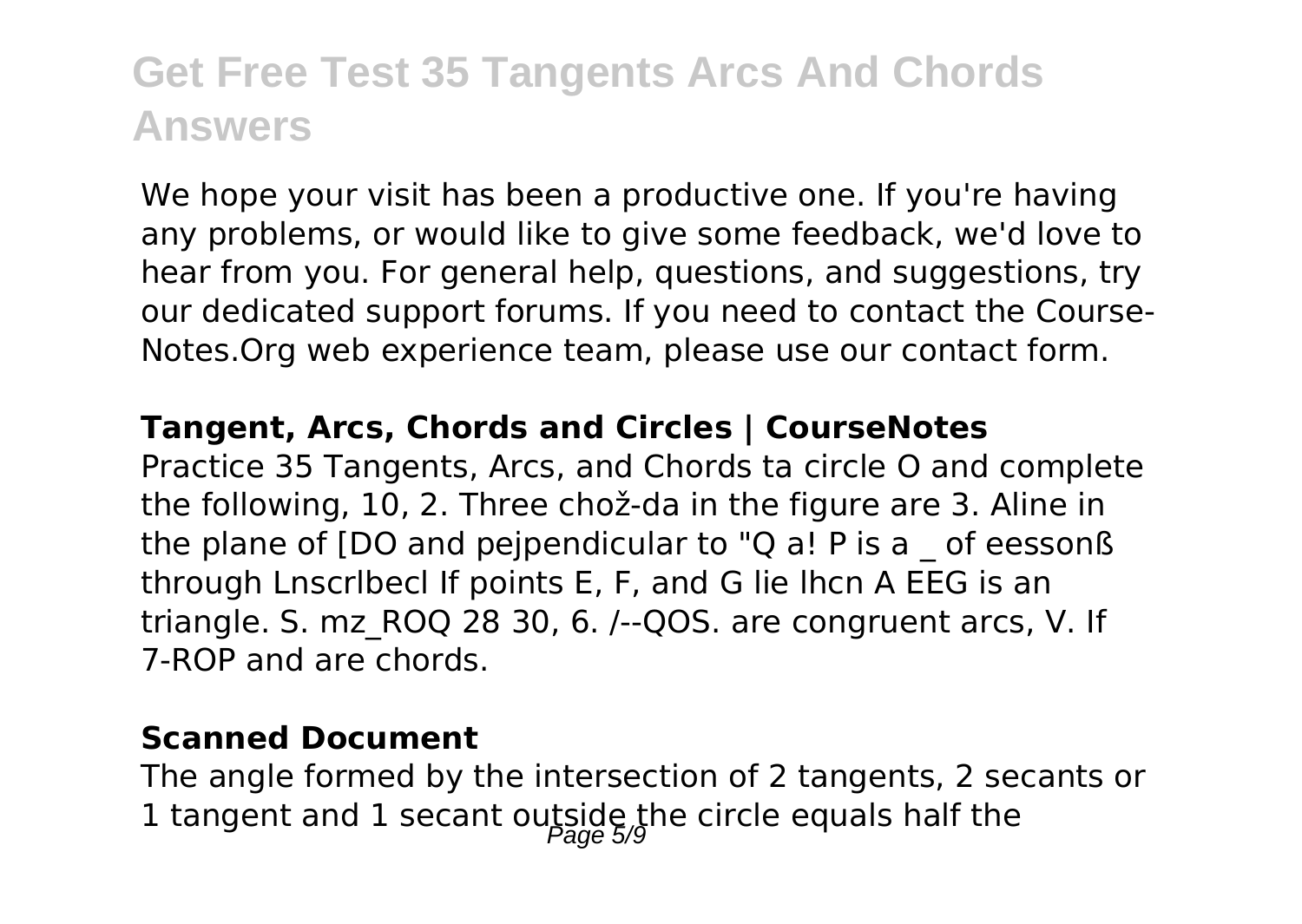We hope your visit has been a productive one. If you're having any problems, or would like to give some feedback, we'd love to hear from you. For general help, questions, and suggestions, try our dedicated support forums. If you need to contact the Course-Notes.Org web experience team, please use our contact form.

#### **Tangent, Arcs, Chords and Circles | CourseNotes**

Practice 35 Tangents, Arcs, and Chords ta circle O and complete the following, 10, 2. Three chož-da in the figure are 3. Aline in the plane of [DO and pejpendicular to "Q a! P is a \_ of eessonß through Lnscrlbecl If points E, F, and G lie lhcn A EEG is an triangle. S. mz\_ROQ 28 30, 6. /--QOS. are congruent arcs, V. If 7-ROP and are chords.

#### **Scanned Document**

The angle formed by the intersection of 2 tangents, 2 secants or 1 tangent and 1 secant outside the circle equals half the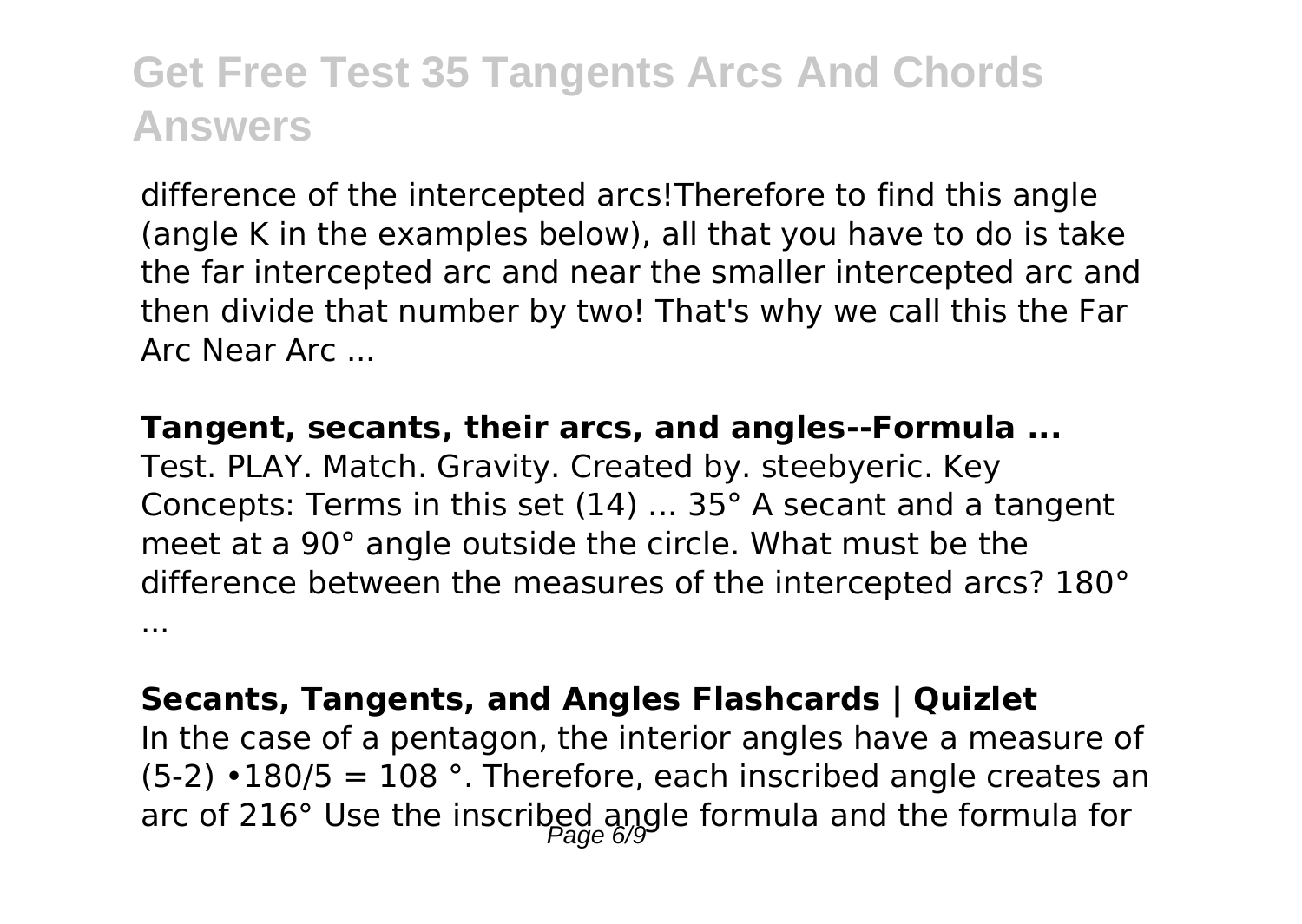difference of the intercepted arcs!Therefore to find this angle (angle K in the examples below), all that you have to do is take the far intercepted arc and near the smaller intercepted arc and then divide that number by two! That's why we call this the Far Arc Near Arc ...

**Tangent, secants, their arcs, and angles--Formula ...**

Test. PLAY. Match. Gravity. Created by. steebyeric. Key Concepts: Terms in this set (14) ... 35° A secant and a tangent meet at a 90° angle outside the circle. What must be the difference between the measures of the intercepted arcs? 180° ...

#### **Secants, Tangents, and Angles Flashcards | Quizlet**

In the case of a pentagon, the interior angles have a measure of  $(5-2) \cdot 180/5 = 108$  °. Therefore, each inscribed angle creates an arc of 216° Use the inscribed angle formula and the formula for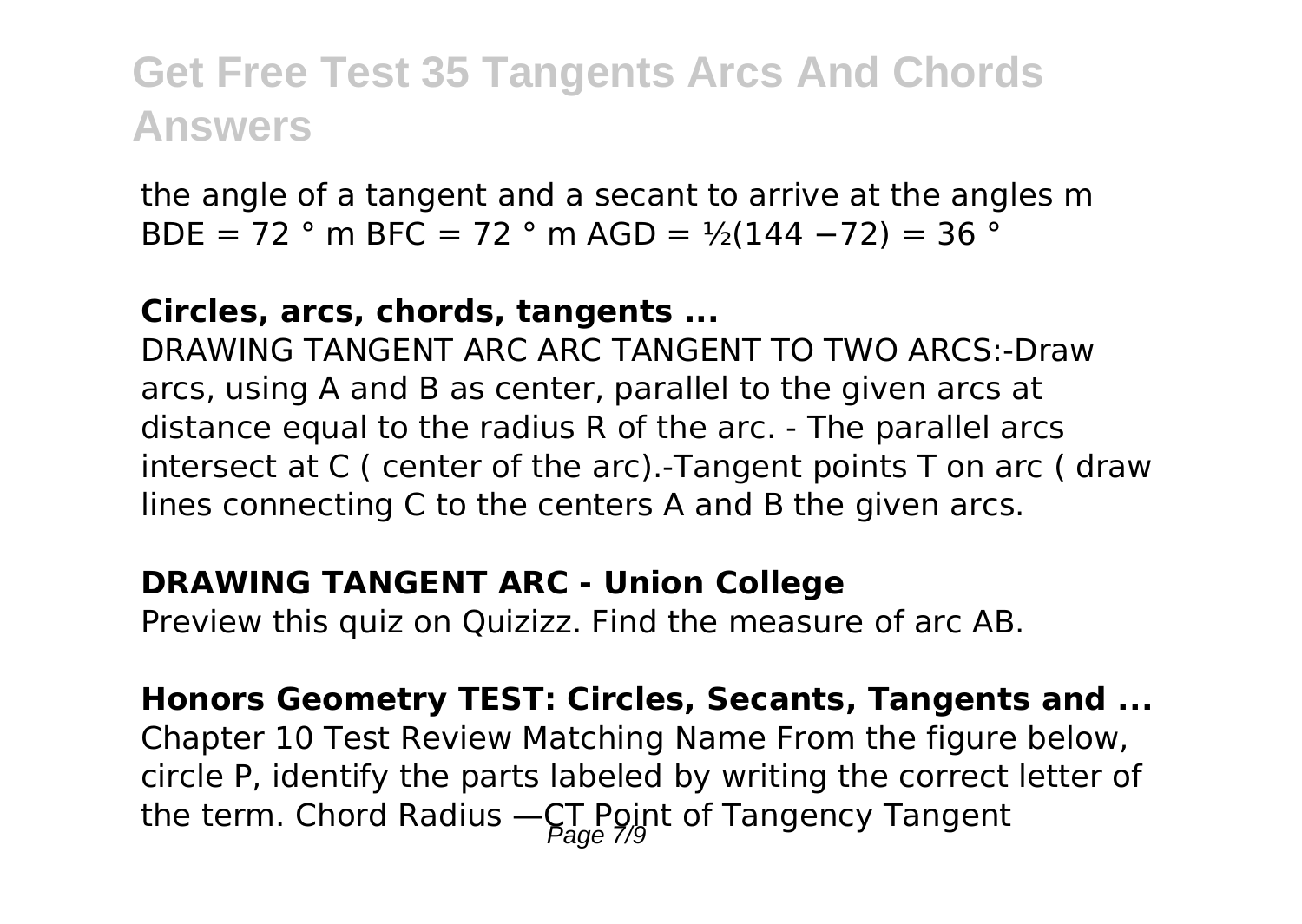the angle of a tangent and a secant to arrive at the angles m BDE = 72 ° m BFC = 72 ° m AGD =  $\frac{1}{2}$ (144 – 72) = 36 °

#### **Circles, arcs, chords, tangents ...**

DRAWING TANGENT ARC ARC TANGENT TO TWO ARCS:-Draw arcs, using A and B as center, parallel to the given arcs at distance equal to the radius R of the arc. - The parallel arcs intersect at C ( center of the arc).-Tangent points T on arc ( draw lines connecting C to the centers A and B the given arcs.

#### **DRAWING TANGENT ARC - Union College**

Preview this quiz on Quizizz. Find the measure of arc AB.

**Honors Geometry TEST: Circles, Secants, Tangents and ...** Chapter 10 Test Review Matching Name From the figure below, circle P, identify the parts labeled by writing the correct letter of the term. Chord Radius  $-\mathcal{C}_{22}^{T}$  Point of Tangency Tangent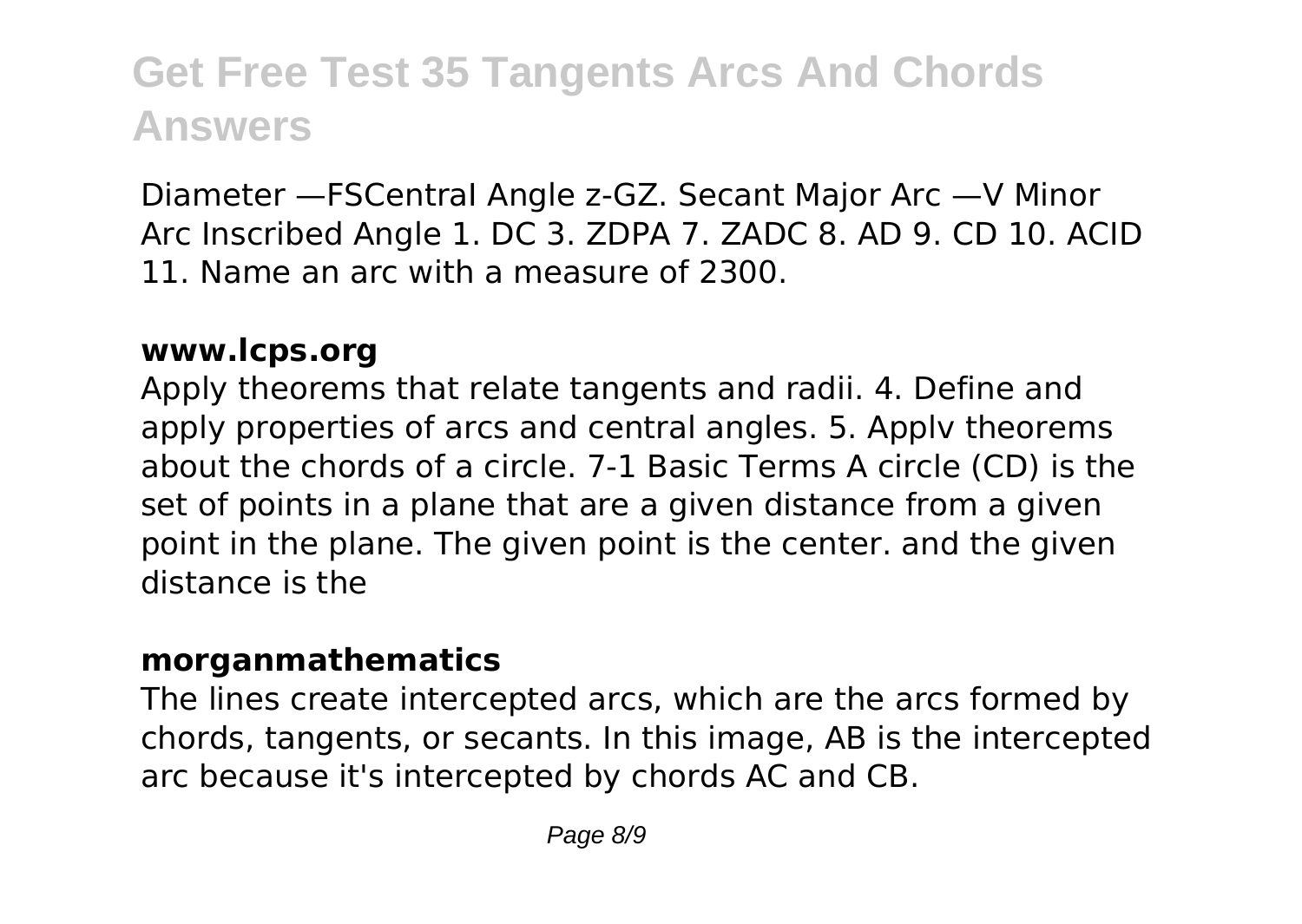Diameter —FSCentraI Angle z-GZ. Secant Major Arc —V Minor Arc Inscribed Angle 1. DC 3. ZDPA 7. ZADC 8. AD 9. CD 10. ACID 11. Name an arc with a measure of 2300.

#### **www.lcps.org**

Apply theorems that relate tangents and radii. 4. Define and apply properties of arcs and central angles. 5. Applv theorems about the chords of a circle. 7-1 Basic Terms A circle (CD) is the set of points in a plane that are a given distance from a given point in the plane. The given point is the center. and the given distance is the

#### **morganmathematics**

The lines create intercepted arcs, which are the arcs formed by chords, tangents, or secants. In this image, AB is the intercepted arc because it's intercepted by chords AC and CB.